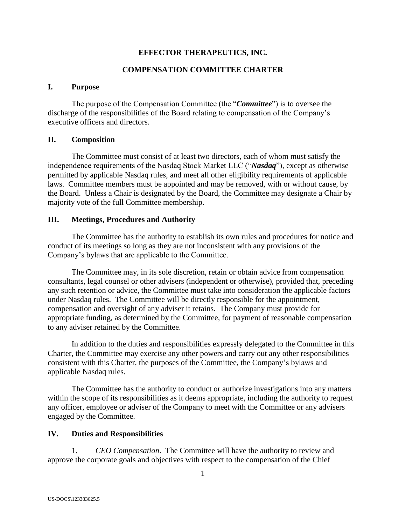# **EFFECTOR THERAPEUTICS, INC.**

# **COMPENSATION COMMITTEE CHARTER**

## **I. Purpose**

The purpose of the Compensation Committee (the "*Committee*") is to oversee the discharge of the responsibilities of the Board relating to compensation of the Company's executive officers and directors.

## **II. Composition**

The Committee must consist of at least two directors, each of whom must satisfy the independence requirements of the Nasdaq Stock Market LLC ("*Nasdaq*"), except as otherwise permitted by applicable Nasdaq rules, and meet all other eligibility requirements of applicable laws. Committee members must be appointed and may be removed, with or without cause, by the Board. Unless a Chair is designated by the Board, the Committee may designate a Chair by majority vote of the full Committee membership.

## **III. Meetings, Procedures and Authority**

The Committee has the authority to establish its own rules and procedures for notice and conduct of its meetings so long as they are not inconsistent with any provisions of the Company's bylaws that are applicable to the Committee.

The Committee may, in its sole discretion, retain or obtain advice from compensation consultants, legal counsel or other advisers (independent or otherwise), provided that, preceding any such retention or advice, the Committee must take into consideration the applicable factors under Nasdaq rules. The Committee will be directly responsible for the appointment, compensation and oversight of any adviser it retains. The Company must provide for appropriate funding, as determined by the Committee, for payment of reasonable compensation to any adviser retained by the Committee.

In addition to the duties and responsibilities expressly delegated to the Committee in this Charter, the Committee may exercise any other powers and carry out any other responsibilities consistent with this Charter, the purposes of the Committee, the Company's bylaws and applicable Nasdaq rules.

The Committee has the authority to conduct or authorize investigations into any matters within the scope of its responsibilities as it deems appropriate, including the authority to request any officer, employee or adviser of the Company to meet with the Committee or any advisers engaged by the Committee.

## **IV. Duties and Responsibilities**

1. *CEO Compensation*. The Committee will have the authority to review and approve the corporate goals and objectives with respect to the compensation of the Chief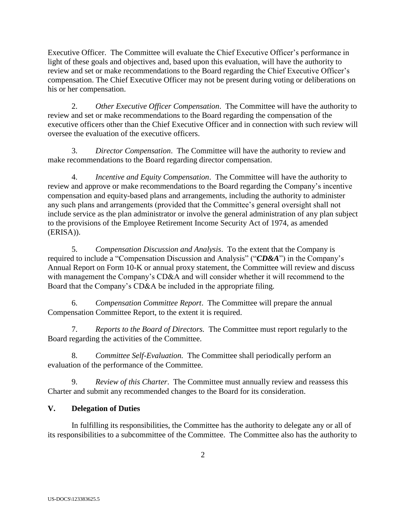Executive Officer. The Committee will evaluate the Chief Executive Officer's performance in light of these goals and objectives and, based upon this evaluation, will have the authority to review and set or make recommendations to the Board regarding the Chief Executive Officer's compensation. The Chief Executive Officer may not be present during voting or deliberations on his or her compensation.

2. *Other Executive Officer Compensation*. The Committee will have the authority to review and set or make recommendations to the Board regarding the compensation of the executive officers other than the Chief Executive Officer and in connection with such review will oversee the evaluation of the executive officers.

3. *Director Compensation*. The Committee will have the authority to review and make recommendations to the Board regarding director compensation.

4. *Incentive and Equity Compensation*. The Committee will have the authority to review and approve or make recommendations to the Board regarding the Company's incentive compensation and equity-based plans and arrangements, including the authority to administer any such plans and arrangements (provided that the Committee's general oversight shall not include service as the plan administrator or involve the general administration of any plan subject to the provisions of the Employee Retirement Income Security Act of 1974, as amended (ERISA)).

5. *Compensation Discussion and Analysis*. To the extent that the Company is required to include a "Compensation Discussion and Analysis" ("*CD&A*") in the Company's Annual Report on Form 10-K or annual proxy statement, the Committee will review and discuss with management the Company's CD&A and will consider whether it will recommend to the Board that the Company's CD&A be included in the appropriate filing.

6. *Compensation Committee Report*. The Committee will prepare the annual Compensation Committee Report, to the extent it is required.

7. *Reports to the Board of Directors.* The Committee must report regularly to the Board regarding the activities of the Committee.

8. *Committee Self-Evaluation.* The Committee shall periodically perform an evaluation of the performance of the Committee.

9. *Review of this Charter*.The Committee must annually review and reassess this Charter and submit any recommended changes to the Board for its consideration.

# **V. Delegation of Duties**

In fulfilling its responsibilities, the Committee has the authority to delegate any or all of its responsibilities to a subcommittee of the Committee. The Committee also has the authority to